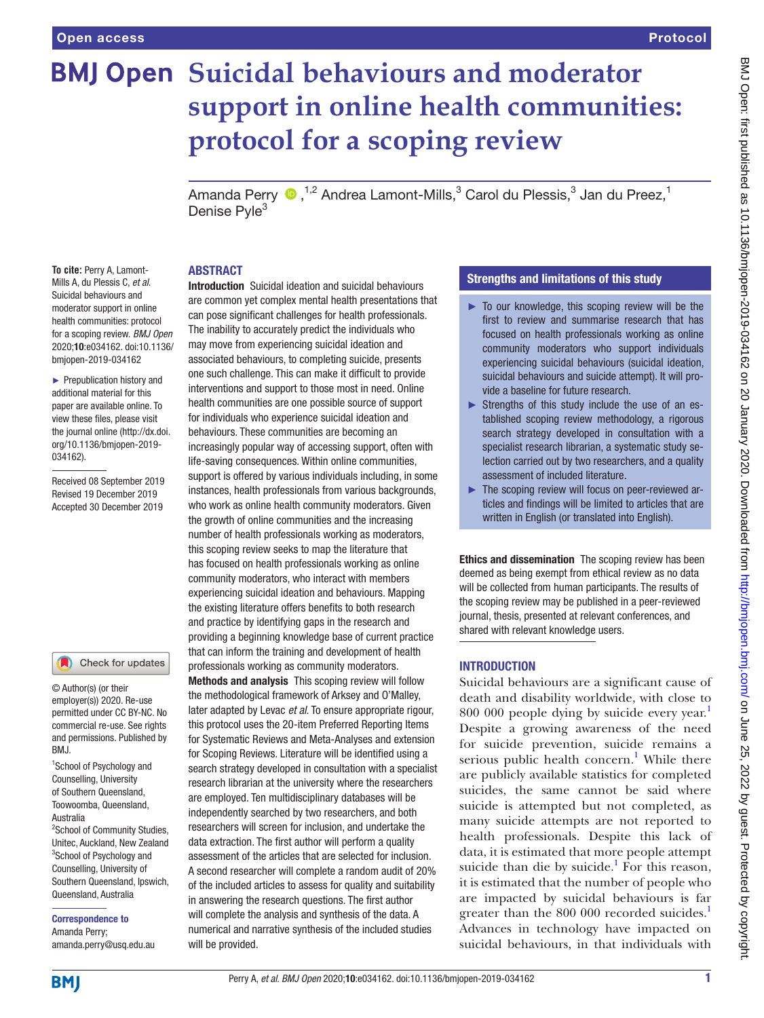# **BMJ Open Suicidal behaviours and moderator support in online health communities: protocol for a scoping review**

Amanda Perry  $\bigcirc$  ,<sup>1,2</sup> Andrea Lamont-Mills,<sup>3</sup> Carol du Plessis,<sup>3</sup> Jan du Preez,<sup>1</sup> Denise Pyle<sup>3</sup>

#### **ABSTRACT**

**To cite:** Perry A, Lamont-Mills A, du Plessis C, *et al*. Suicidal behaviours and moderator support in online health communities: protocol for a scoping review. *BMJ Open* 2020;10:e034162. doi:10.1136/ bmjopen-2019-034162

► Prepublication history and additional material for this paper are available online. To view these files, please visit the journal online (http://dx.doi. org/10.1136/bmjopen-2019- 034162).

Received 08 September 2019 Revised 19 December 2019 Accepted 30 December 2019

#### Check for updates

© Author(s) (or their employer(s)) 2020. Re-use permitted under CC BY-NC. No commercial re-use. See rights and permissions. Published by BMJ.

<sup>1</sup>School of Psychology and Counselling, University of Southern Queensland, Toowoomba, Queensland, Australia

<sup>2</sup>School of Community Studies, Unitec, Auckland, New Zealand <sup>3</sup>School of Psychology and Counselling, University of Southern Queensland, Ipswich, Queensland, Australia

Correspondence to Amanda Perry;

amanda.perry@usq.edu.au

Introduction Suicidal ideation and suicidal behaviours are common yet complex mental health presentations that can pose significant challenges for health professionals. The inability to accurately predict the individuals who may move from experiencing suicidal ideation and associated behaviours, to completing suicide, presents one such challenge. This can make it difficult to provide interventions and support to those most in need. Online health communities are one possible source of support for individuals who experience suicidal ideation and behaviours. These communities are becoming an increasingly popular way of accessing support, often with life-saving consequences. Within online communities, support is offered by various individuals including, in some instances, health professionals from various backgrounds, who work as online health community moderators. Given the growth of online communities and the increasing number of health professionals working as moderators, this scoping review seeks to map the literature that has focused on health professionals working as online community moderators, who interact with members experiencing suicidal ideation and behaviours. Mapping the existing literature offers benefits to both research and practice by identifying gaps in the research and providing a beginning knowledge base of current practice that can inform the training and development of health professionals working as community moderators. Methods and analysis This scoping review will follow the methodological framework of Arksey and O'Malley, later adapted by Levac *et al*. To ensure appropriate rigour, this protocol uses the 20-item Preferred Reporting Items for Systematic Reviews and Meta-Analyses and extension for Scoping Reviews. Literature will be identified using a search strategy developed in consultation with a specialist research librarian at the university where the researchers are employed. Ten multidisciplinary databases will be independently searched by two researchers, and both researchers will screen for inclusion, and undertake the data extraction. The first author will perform a quality assessment of the articles that are selected for inclusion. A second researcher will complete a random audit of 20% of the included articles to assess for quality and suitability in answering the research questions. The first author will complete the analysis and synthesis of the data. A

numerical and narrative synthesis of the included studies

will be provided.

## Strengths and limitations of this study

- $\blacktriangleright$  To our knowledge, this scoping review will be the first to review and summarise research that has focused on health professionals working as online community moderators who support individuals experiencing suicidal behaviours (suicidal ideation, suicidal behaviours and suicide attempt). It will provide a baseline for future research.
- ► Strengths of this study include the use of an established scoping review methodology, a rigorous search strategy developed in consultation with a specialist research librarian, a systematic study selection carried out by two researchers, and a quality assessment of included literature.
- ► The scoping review will focus on peer-reviewed articles and findings will be limited to articles that are written in English (or translated into English).

Ethics and dissemination The scoping review has been deemed as being exempt from ethical review as no data will be collected from human participants. The results of the scoping review may be published in a peer-reviewed journal, thesis, presented at relevant conferences, and shared with relevant knowledge users.

## **INTRODUCTION**

Suicidal behaviours are a significant cause of death and disability worldwide, with close to 800 000 people dying by suicide every year. [1](#page-6-0) Despite a growing awareness of the need for suicide prevention, suicide remains a serious public health concern.<sup>1</sup> While there are publicly available statistics for completed suicides, the same cannot be said where suicide is attempted but not completed, as many suicide attempts are not reported to health professionals. Despite this lack of data, it is estimated that more people attempt suicide than die by suicide.<sup>[1](#page-6-0)</sup> For this reason, it is estimated that the number of people who are impacted by suicidal behaviours is far greater than the 800 000 recorded suicides.<sup>1</sup> Advances in technology have impacted on suicidal behaviours, in that individuals with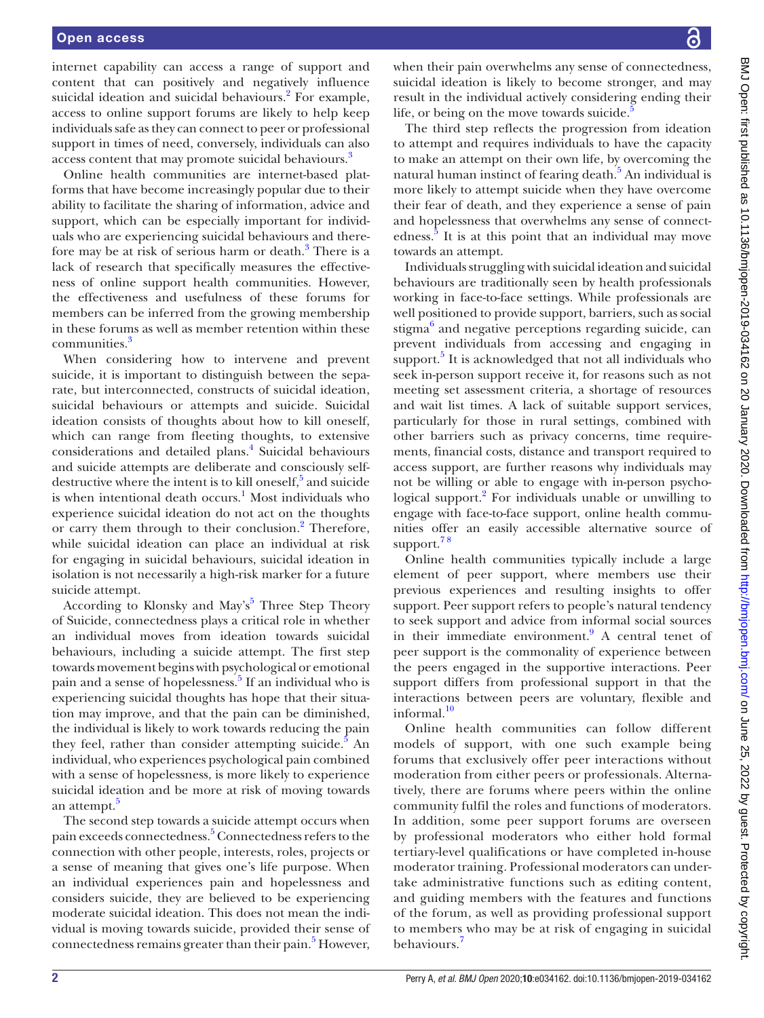internet capability can access a range of support and content that can positively and negatively influence suicidal ideation and suicidal behaviours.<sup>2</sup> For example, access to online support forums are likely to help keep individuals safe as they can connect to peer or professional support in times of need, conversely, individuals can also access content that may promote suicidal behaviours.<sup>3</sup>

Online health communities are internet-based platforms that have become increasingly popular due to their ability to facilitate the sharing of information, advice and support, which can be especially important for individuals who are experiencing suicidal behaviours and there-fore may be at risk of serious harm or death.<sup>[3](#page-7-0)</sup> There is a lack of research that specifically measures the effectiveness of online support health communities. However, the effectiveness and usefulness of these forums for members can be inferred from the growing membership in these forums as well as member retention within these communities.[3](#page-7-0)

When considering how to intervene and prevent suicide, it is important to distinguish between the separate, but interconnected, constructs of suicidal ideation, suicidal behaviours or attempts and suicide. Suicidal ideation consists of thoughts about how to kill oneself, which can range from fleeting thoughts, to extensive considerations and detailed plans.<sup>4</sup> Suicidal behaviours and suicide attempts are deliberate and consciously selfdestructive where the intent is to kill oneself,<sup>5</sup> and suicide is when intentional death occurs.<sup>[1](#page-6-0)</sup> Most individuals who experience suicidal ideation do not act on the thoughts or carry them through to their conclusion.<sup>2</sup> Therefore, while suicidal ideation can place an individual at risk for engaging in suicidal behaviours, suicidal ideation in isolation is not necessarily a high-risk marker for a future suicide attempt.

According to Klonsky and May's<sup>[5](#page-7-2)</sup> Three Step Theory of Suicide, connectedness plays a critical role in whether an individual moves from ideation towards suicidal behaviours, including a suicide attempt. The first step towards movement begins with psychological or emotional pain and a sense of hopelessness.<sup>[5](#page-7-2)</sup> If an individual who is experiencing suicidal thoughts has hope that their situation may improve, and that the pain can be diminished, the individual is likely to work towards reducing the pain they feel, rather than consider attempting suicide.<sup>[5](#page-7-2)</sup> An individual, who experiences psychological pain combined with a sense of hopelessness, is more likely to experience suicidal ideation and be more at risk of moving towards an attempt.<sup>5</sup>

The second step towards a suicide attempt occurs when pain exceeds connectedness.<sup>5</sup> Connectedness refers to the connection with other people, interests, roles, projects or a sense of meaning that gives one's life purpose. When an individual experiences pain and hopelessness and considers suicide, they are believed to be experiencing moderate suicidal ideation. This does not mean the individual is moving towards suicide, provided their sense of connectedness remains greater than their pain.<sup>[5](#page-7-2)</sup> However,

when their pain overwhelms any sense of connectedness, suicidal ideation is likely to become stronger, and may result in the individual actively considering ending their life, or being on the move towards suicide. $5$ 

The third step reflects the progression from ideation to attempt and requires individuals to have the capacity to make an attempt on their own life, by overcoming the natural human instinct of fearing death.<sup>5</sup> An individual is more likely to attempt suicide when they have overcome their fear of death, and they experience a sense of pain and hopelessness that overwhelms any sense of connectedness. $5$  It is at this point that an individual may move towards an attempt.

Individuals struggling with suicidal ideation and suicidal behaviours are traditionally seen by health professionals working in face-to-face settings. While professionals are well positioned to provide support, barriers, such as social stigma<sup>[6](#page-7-3)</sup> and negative perceptions regarding suicide, can prevent individuals from accessing and engaging in support.<sup>[5](#page-7-2)</sup> It is acknowledged that not all individuals who seek in-person support receive it, for reasons such as not meeting set assessment criteria, a shortage of resources and wait list times. A lack of suitable support services, particularly for those in rural settings, combined with other barriers such as privacy concerns, time requirements, financial costs, distance and transport required to access support, are further reasons why individuals may not be willing or able to engage with in-person psycho-logical support.<sup>[2](#page-6-1)</sup> For individuals unable or unwilling to engage with face-to-face support, online health communities offer an easily accessible alternative source of support[.7 8](#page-7-4)

Online health communities typically include a large element of peer support, where members use their previous experiences and resulting insights to offer support. Peer support refers to people's natural tendency to seek support and advice from informal social sources in their immediate environment.<sup>[9](#page-7-5)</sup> A central tenet of peer support is the commonality of experience between the peers engaged in the supportive interactions. Peer support differs from professional support in that the interactions between peers are voluntary, flexible and informal. $10$ 

Online health communities can follow different models of support, with one such example being forums that exclusively offer peer interactions without moderation from either peers or professionals. Alternatively, there are forums where peers within the online community fulfil the roles and functions of moderators. In addition, some peer support forums are overseen by professional moderators who either hold formal tertiary-level qualifications or have completed in-house moderator training. Professional moderators can undertake administrative functions such as editing content, and guiding members with the features and functions of the forum, as well as providing professional support to members who may be at risk of engaging in suicidal behaviours.[7](#page-7-4)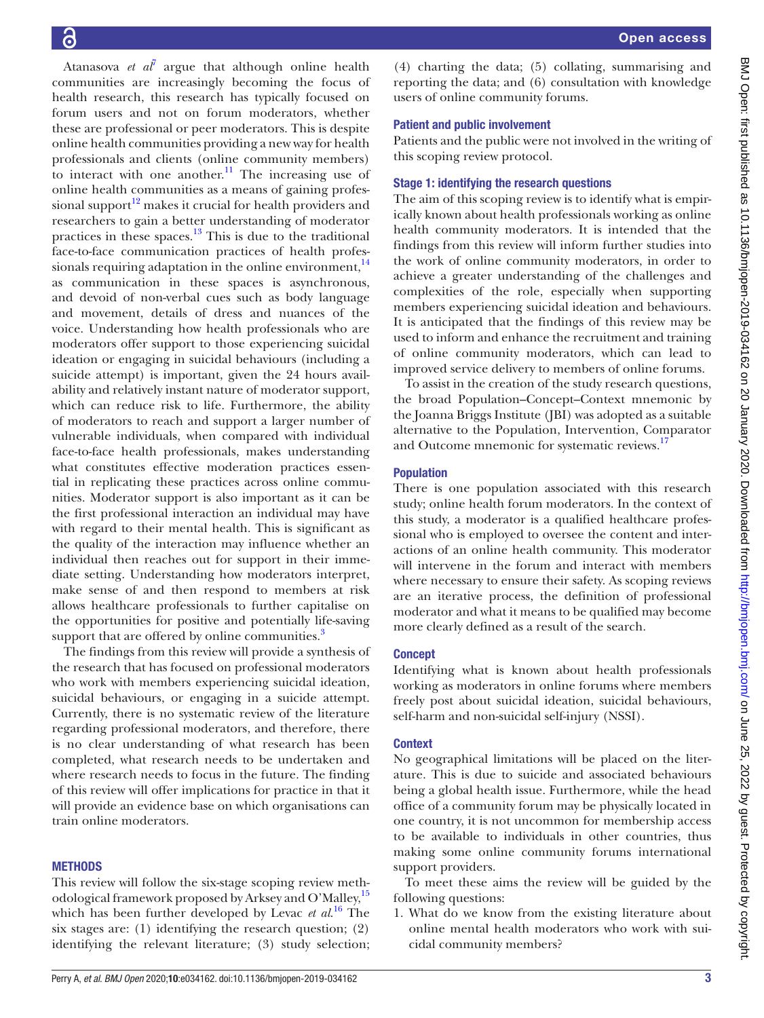Atanasova *et al*<sup>[7](#page-7-4)</sup> argue that although online health communities are increasingly becoming the focus of health research, this research has typically focused on forum users and not on forum moderators, whether these are professional or peer moderators. This is despite online health communities providing a new way for health professionals and clients (online community members) to interact with one another.<sup>11</sup> The increasing use of online health communities as a means of gaining professional support $12$  makes it crucial for health providers and researchers to gain a better understanding of moderator practices in these spaces. $13$  This is due to the traditional face-to-face communication practices of health professionals requiring adaptation in the online environment, $^{14}$ as communication in these spaces is asynchronous, and devoid of non-verbal cues such as body language and movement, details of dress and nuances of the voice. Understanding how health professionals who are moderators offer support to those experiencing suicidal ideation or engaging in suicidal behaviours (including a suicide attempt) is important, given the 24 hours availability and relatively instant nature of moderator support, which can reduce risk to life. Furthermore, the ability of moderators to reach and support a larger number of vulnerable individuals, when compared with individual face-to-face health professionals, makes understanding what constitutes effective moderation practices essential in replicating these practices across online communities. Moderator support is also important as it can be the first professional interaction an individual may have with regard to their mental health. This is significant as the quality of the interaction may influence whether an individual then reaches out for support in their immediate setting. Understanding how moderators interpret, make sense of and then respond to members at risk allows healthcare professionals to further capitalise on the opportunities for positive and potentially life-saving support that are offered by online communities. $3$ 

The findings from this review will provide a synthesis of the research that has focused on professional moderators who work with members experiencing suicidal ideation, suicidal behaviours, or engaging in a suicide attempt. Currently, there is no systematic review of the literature regarding professional moderators, and therefore, there is no clear understanding of what research has been completed, what research needs to be undertaken and where research needs to focus in the future. The finding of this review will offer implications for practice in that it will provide an evidence base on which organisations can train online moderators.

#### **METHODS**

This review will follow the six-stage scoping review methodological framework proposed by Arksey and O'Malley,[15](#page-7-11) which has been further developed by Levac *et al*. [16](#page-7-12) The six stages are: (1) identifying the research question; (2) identifying the relevant literature; (3) study selection;

(4) charting the data; (5) collating, summarising and reporting the data; and (6) consultation with knowledge users of online community forums.

## Patient and public involvement

Patients and the public were not involved in the writing of this scoping review protocol.

### Stage 1: identifying the research questions

The aim of this scoping review is to identify what is empirically known about health professionals working as online health community moderators. It is intended that the findings from this review will inform further studies into the work of online community moderators, in order to achieve a greater understanding of the challenges and complexities of the role, especially when supporting members experiencing suicidal ideation and behaviours. It is anticipated that the findings of this review may be used to inform and enhance the recruitment and training of online community moderators, which can lead to improved service delivery to members of online forums.

To assist in the creation of the study research questions, the broad Population–Concept–Context mnemonic by the Joanna Briggs Institute (JBI) was adopted as a suitable alternative to the Population, Intervention, Comparator and Outcome mnemonic for systematic reviews.<sup>[17](#page-7-13)</sup>

## Population

There is one population associated with this research study; online health forum moderators. In the context of this study, a moderator is a qualified healthcare professional who is employed to oversee the content and interactions of an online health community. This moderator will intervene in the forum and interact with members where necessary to ensure their safety. As scoping reviews are an iterative process, the definition of professional moderator and what it means to be qualified may become more clearly defined as a result of the search.

#### **Concept**

Identifying what is known about health professionals working as moderators in online forums where members freely post about suicidal ideation, suicidal behaviours, self-harm and non-suicidal self-injury (NSSI).

## **Context**

No geographical limitations will be placed on the literature. This is due to suicide and associated behaviours being a global health issue. Furthermore, while the head office of a community forum may be physically located in one country, it is not uncommon for membership access to be available to individuals in other countries, thus making some online community forums international support providers.

To meet these aims the review will be guided by the following questions:

1. What do we know from the existing literature about online mental health moderators who work with suicidal community members?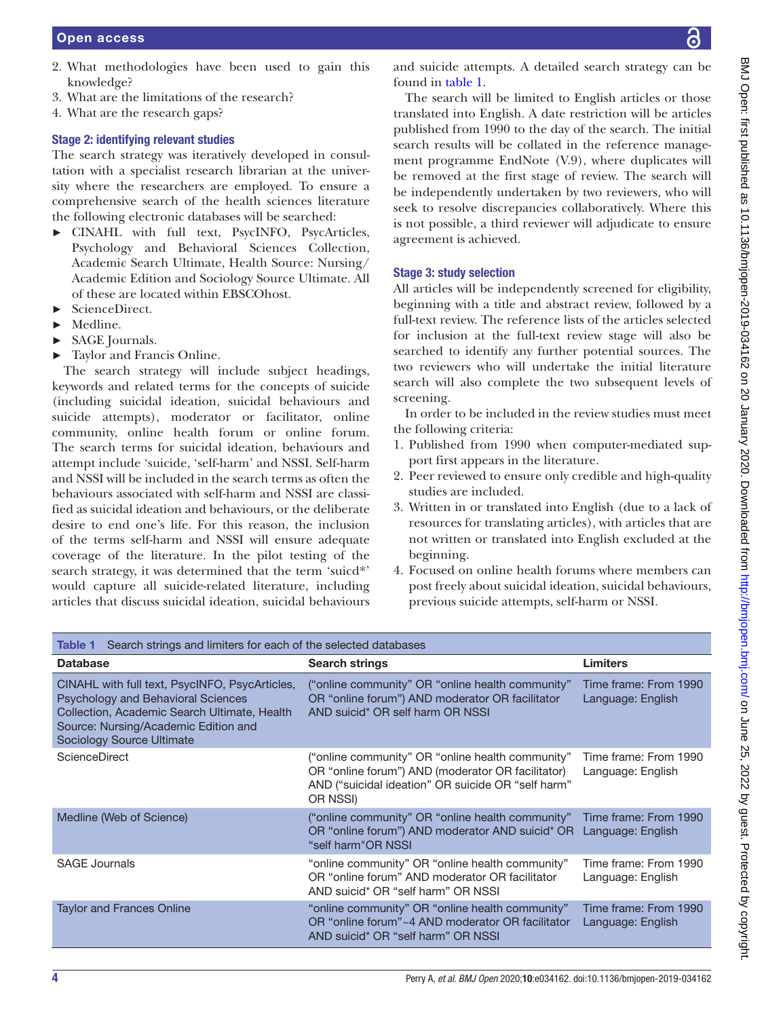- 2. What methodologies have been used to gain this knowledge?
- 3. What are the limitations of the research?
- 4. What are the research gaps?

## Stage 2: identifying relevant studies

The search strategy was iteratively developed in consultation with a specialist research librarian at the university where the researchers are employed. To ensure a comprehensive search of the health sciences literature the following electronic databases will be searched:

- ► CINAHL with full text, PsycINFO, PsycArticles, Psychology and Behavioral Sciences Collection, Academic Search Ultimate, Health Source: Nursing/ Academic Edition and Sociology Source Ultimate. All of these are located within EBSCOhost.
- ► ScienceDirect.
- ► Medline.
- ► SAGE Journals.
- ► Taylor and Francis Online.

The search strategy will include subject headings, keywords and related terms for the concepts of suicide (including suicidal ideation, suicidal behaviours and suicide attempts), moderator or facilitator, online community, online health forum or online forum. The search terms for suicidal ideation, behaviours and attempt include 'suicide, 'self-harm' and NSSI. Self-harm and NSSI will be included in the search terms as often the behaviours associated with self-harm and NSSI are classified as suicidal ideation and behaviours, or the deliberate desire to end one's life. For this reason, the inclusion of the terms self-harm and NSSI will ensure adequate coverage of the literature. In the pilot testing of the search strategy, it was determined that the term 'suicd\*' would capture all suicide-related literature, including articles that discuss suicidal ideation, suicidal behaviours

and suicide attempts. A detailed search strategy can be found in [table](#page-3-0) 1.

The search will be limited to English articles or those translated into English. A date restriction will be articles published from 1990 to the day of the search. The initial search results will be collated in the reference management programme EndNote (V.9), where duplicates will be removed at the first stage of review. The search will be independently undertaken by two reviewers, who will seek to resolve discrepancies collaboratively. Where this is not possible, a third reviewer will adjudicate to ensure agreement is achieved.

## Stage 3: study selection

All articles will be independently screened for eligibility, beginning with a title and abstract review, followed by a full-text review. The reference lists of the articles selected for inclusion at the full-text review stage will also be searched to identify any further potential sources. The two reviewers who will undertake the initial literature search will also complete the two subsequent levels of screening.

In order to be included in the review studies must meet the following criteria:

- 1. Published from 1990 when computer-mediated support first appears in the literature.
- 2. Peer reviewed to ensure only credible and high-quality studies are included.
- 3. Written in or translated into English (due to a lack of resources for translating articles), with articles that are not written or translated into English excluded at the beginning.
- 4. Focused on online health forums where members can post freely about suicidal ideation, suicidal behaviours, previous suicide attempts, self-harm or NSSI.

<span id="page-3-0"></span>

| Search strings and limiters for each of the selected databases<br>Table 1                                                                                                                                 |                                                                                                                                                                        |                                            |
|-----------------------------------------------------------------------------------------------------------------------------------------------------------------------------------------------------------|------------------------------------------------------------------------------------------------------------------------------------------------------------------------|--------------------------------------------|
| <b>Database</b>                                                                                                                                                                                           | <b>Search strings</b>                                                                                                                                                  | Limiters                                   |
| CINAHL with full text, PsycINFO, PsycArticles,<br>Psychology and Behavioral Sciences<br>Collection, Academic Search Ultimate, Health<br>Source: Nursing/Academic Edition and<br>Sociology Source Ultimate | ("online community" OR "online health community"<br>OR "online forum") AND moderator OR facilitator<br>AND suicid* OR self harm OR NSSI                                | Time frame: From 1990<br>Language: English |
| <b>ScienceDirect</b>                                                                                                                                                                                      | "online community" OR "online health community"<br>OR "online forum") AND (moderator OR facilitator)<br>AND ("suicidal ideation" OR suicide OR "self harm"<br>OR NSSI) | Time frame: From 1990<br>Language: English |
| Medline (Web of Science)                                                                                                                                                                                  | ("online community" OR "online health community"<br>OR "online forum") AND moderator AND suicid* OR<br>"self harm"OR NSSI                                              | Time frame: From 1990<br>Language: English |
| <b>SAGE Journals</b>                                                                                                                                                                                      | "online community" OR "online health community"<br>OR "online forum" AND moderator OR facilitator<br>AND suicid* OR "self harm" OR NSSI                                | Time frame: From 1990<br>Language: English |
| <b>Taylor and Frances Online</b>                                                                                                                                                                          | "online community" OR "online health community"<br>OR "online forum"~4 AND moderator OR facilitator<br>AND suicid* OR "self harm" OR NSSI                              | Time frame: From 1990<br>Language: English |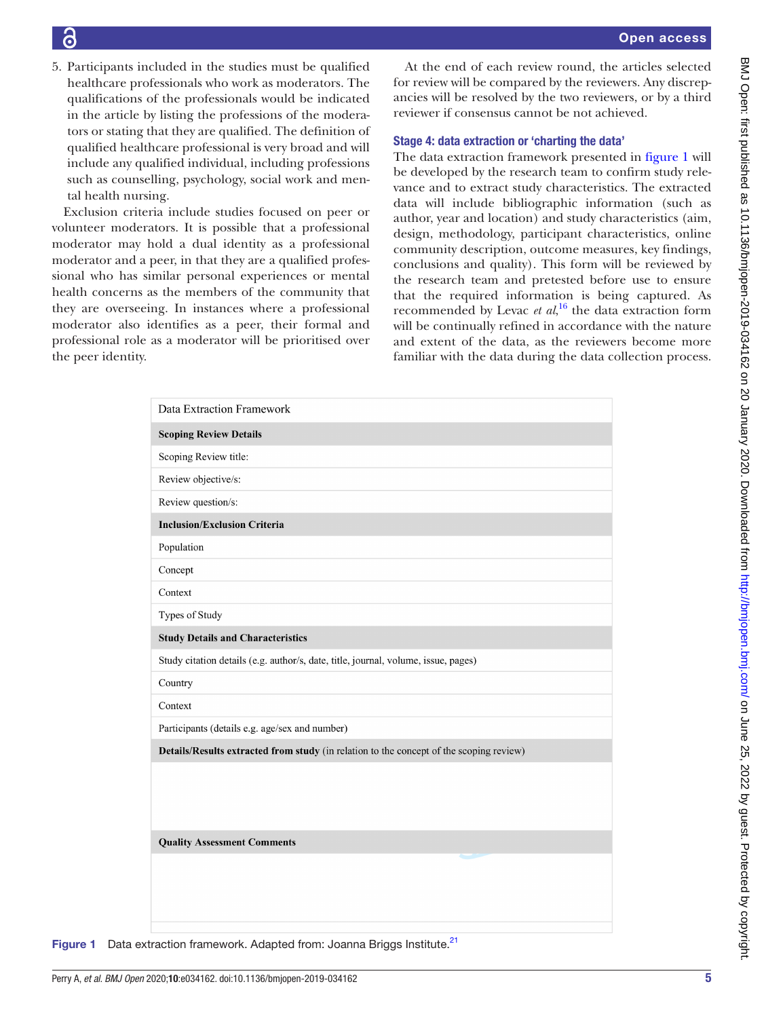5. Participants included in the studies must be qualified healthcare professionals who work as moderators. The qualifications of the professionals would be indicated in the article by listing the professions of the moderators or stating that they are qualified. The definition of qualified healthcare professional is very broad and will include any qualified individual, including professions such as counselling, psychology, social work and mental health nursing.

Exclusion criteria include studies focused on peer or volunteer moderators. It is possible that a professional moderator may hold a dual identity as a professional moderator and a peer, in that they are a qualified professional who has similar personal experiences or mental health concerns as the members of the community that they are overseeing. In instances where a professional moderator also identifies as a peer, their formal and professional role as a moderator will be prioritised over the peer identity.

At the end of each review round, the articles selected for review will be compared by the reviewers. Any discrepancies will be resolved by the two reviewers, or by a third reviewer if consensus cannot be not achieved.

### Stage 4: data extraction or 'charting the data'

The data extraction framework presented in [figure](#page-4-0) 1 will be developed by the research team to confirm study relevance and to extract study characteristics. The extracted data will include bibliographic information (such as author, year and location) and study characteristics (aim, design, methodology, participant characteristics, online community description, outcome measures, key findings, conclusions and quality). This form will be reviewed by the research team and pretested before use to ensure that the required information is being captured. As recommended by Levac *et al*,<sup>[16](#page-7-12)</sup> the data extraction form will be continually refined in accordance with the nature and extent of the data, as the reviewers become more familiar with the data during the data collection process.

| Data Extraction Framework                                                               |  |  |
|-----------------------------------------------------------------------------------------|--|--|
| <b>Scoping Review Details</b>                                                           |  |  |
| Scoping Review title:                                                                   |  |  |
| Review objective/s:                                                                     |  |  |
| Review question/s:                                                                      |  |  |
| <b>Inclusion/Exclusion Criteria</b>                                                     |  |  |
| Population                                                                              |  |  |
| Concept                                                                                 |  |  |
| Context                                                                                 |  |  |
| Types of Study                                                                          |  |  |
| <b>Study Details and Characteristics</b>                                                |  |  |
| Study citation details (e.g. author/s, date, title, journal, volume, issue, pages)      |  |  |
| Country                                                                                 |  |  |
| Context                                                                                 |  |  |
| Participants (details e.g. age/sex and number)                                          |  |  |
| Details/Results extracted from study (in relation to the concept of the scoping review) |  |  |
|                                                                                         |  |  |
|                                                                                         |  |  |
|                                                                                         |  |  |
| <b>Quality Assessment Comments</b>                                                      |  |  |
|                                                                                         |  |  |
|                                                                                         |  |  |
|                                                                                         |  |  |

<span id="page-4-0"></span>Figure 1 Data extraction framework. Adapted from: Joanna Briggs Institute.<sup>[21](#page-7-14)</sup>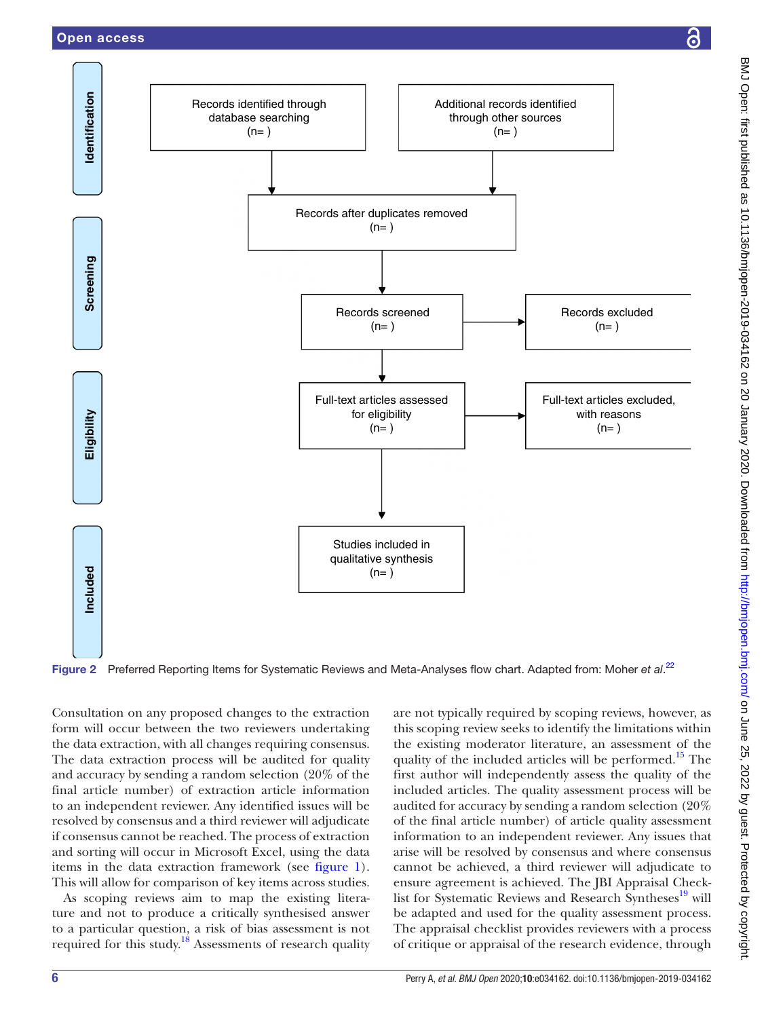#### Open access



<span id="page-5-0"></span>Figure 2 Preferred Reporting Items for Systematic Reviews and Meta-Analyses flow chart. Adapted from: Moher et al.<sup>[22](#page-7-15)</sup>

Consultation on any proposed changes to the extraction form will occur between the two reviewers undertaking the data extraction, with all changes requiring consensus. The data extraction process will be audited for quality and accuracy by sending a random selection (20% of the final article number) of extraction article information to an independent reviewer. Any identified issues will be resolved by consensus and a third reviewer will adjudicate if consensus cannot be reached. The process of extraction and sorting will occur in Microsoft Excel, using the data items in the data extraction framework (see [figure](#page-4-0) 1). This will allow for comparison of key items across studies.

As scoping reviews aim to map the existing literature and not to produce a critically synthesised answer to a particular question, a risk of bias assessment is not required for this study.<sup>[18](#page-7-16)</sup> Assessments of research quality are not typically required by scoping reviews, however, as this scoping review seeks to identify the limitations within the existing moderator literature, an assessment of the quality of the included articles will be performed.<sup>15</sup> The first author will independently assess the quality of the included articles. The quality assessment process will be audited for accuracy by sending a random selection (20% of the final article number) of article quality assessment information to an independent reviewer. Any issues that arise will be resolved by consensus and where consensus cannot be achieved, a third reviewer will adjudicate to ensure agreement is achieved. The JBI Appraisal Checklist for Systematic Reviews and Research Syntheses<sup>19</sup> will be adapted and used for the quality assessment process. The appraisal checklist provides reviewers with a process of critique or appraisal of the research evidence, through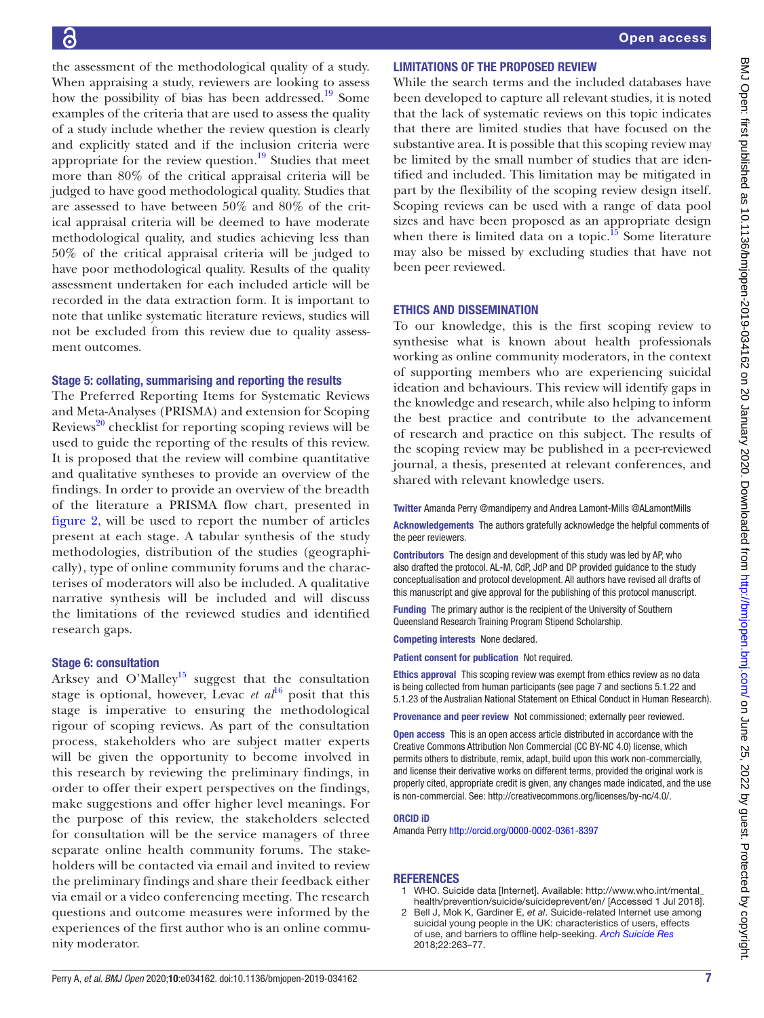the assessment of the methodological quality of a study. When appraising a study, reviewers are looking to assess how the possibility of bias has been addressed.<sup>19</sup> Some examples of the criteria that are used to assess the quality of a study include whether the review question is clearly and explicitly stated and if the inclusion criteria were appropriate for the review question. $19$  Studies that meet more than 80% of the critical appraisal criteria will be judged to have good methodological quality. Studies that are assessed to have between 50% and 80% of the critical appraisal criteria will be deemed to have moderate methodological quality, and studies achieving less than 50% of the critical appraisal criteria will be judged to have poor methodological quality. Results of the quality assessment undertaken for each included article will be recorded in the data extraction form. It is important to note that unlike systematic literature reviews, studies will not be excluded from this review due to quality assessment outcomes.

## Stage 5: collating, summarising and reporting the results

The Preferred Reporting Items for Systematic Reviews and Meta-Analyses (PRISMA) and extension for Scoping Reviews<sup>20</sup> checklist for reporting scoping reviews will be used to guide the reporting of the results of this review. It is proposed that the review will combine quantitative and qualitative syntheses to provide an overview of the findings. In order to provide an overview of the breadth of the literature a PRISMA flow chart, presented in [figure](#page-5-0) 2, will be used to report the number of articles present at each stage. A tabular synthesis of the study methodologies, distribution of the studies (geographically), type of online community forums and the characterises of moderators will also be included. A qualitative narrative synthesis will be included and will discuss the limitations of the reviewed studies and identified research gaps.

## Stage 6: consultation

Arksey and O'Malley<sup>15</sup> suggest that the consultation stage is optional, however, Levac *et al*<sup>16</sup> posit that this stage is imperative to ensuring the methodological rigour of scoping reviews. As part of the consultation process, stakeholders who are subject matter experts will be given the opportunity to become involved in this research by reviewing the preliminary findings, in order to offer their expert perspectives on the findings, make suggestions and offer higher level meanings. For the purpose of this review, the stakeholders selected for consultation will be the service managers of three separate online health community forums. The stakeholders will be contacted via email and invited to review the preliminary findings and share their feedback either via email or a video conferencing meeting. The research questions and outcome measures were informed by the experiences of the first author who is an online community moderator.

## Limitations of the proposed review

While the search terms and the included databases have been developed to capture all relevant studies, it is noted that the lack of systematic reviews on this topic indicates that there are limited studies that have focused on the substantive area. It is possible that this scoping review may be limited by the small number of studies that are identified and included. This limitation may be mitigated in part by the flexibility of the scoping review design itself. Scoping reviews can be used with a range of data pool sizes and have been proposed as an appropriate design when there is limited data on a topic.<sup>15</sup> Some literature may also be missed by excluding studies that have not been peer reviewed.

## Ethics and dissemination

To our knowledge, this is the first scoping review to synthesise what is known about health professionals working as online community moderators, in the context of supporting members who are experiencing suicidal ideation and behaviours. This review will identify gaps in the knowledge and research, while also helping to inform the best practice and contribute to the advancement of research and practice on this subject. The results of the scoping review may be published in a peer-reviewed journal, a thesis, presented at relevant conferences, and shared with relevant knowledge users.

Twitter Amanda Perry [@mandiperry](https://twitter.com/mandiperry) and Andrea Lamont-Mills [@ALamontMills](https://twitter.com/ALamontMills)

Acknowledgements The authors gratefully acknowledge the helpful comments of the peer reviewers.

Contributors The design and development of this study was led by AP, who also drafted the protocol. AL-M, CdP, JdP and DP provided guidance to the study conceptualisation and protocol development. All authors have revised all drafts of this manuscript and give approval for the publishing of this protocol manuscript.

Funding The primary author is the recipient of the University of Southern Queensland Research Training Program Stipend Scholarship.

Competing interests None declared.

Patient consent for publication Not required.

Ethics approval This scoping review was exempt from ethics review as no data is being collected from human participants (see page 7 and sections 5.1.22 and 5.1.23 of the Australian National Statement on Ethical Conduct in Human Research).

Provenance and peer review Not commissioned; externally peer reviewed.

Open access This is an open access article distributed in accordance with the Creative Commons Attribution Non Commercial (CC BY-NC 4.0) license, which permits others to distribute, remix, adapt, build upon this work non-commercially, and license their derivative works on different terms, provided the original work is properly cited, appropriate credit is given, any changes made indicated, and the use is non-commercial. See: [http://creativecommons.org/licenses/by-nc/4.0/.](http://creativecommons.org/licenses/by-nc/4.0/)

#### ORCID iD

Amanda Perry<http://orcid.org/0000-0002-0361-8397>

#### **REFERENCES**

- <span id="page-6-0"></span>WHO. Suicide data [Internet]. Available: [http://www.who.int/mental\\_](http://www.who.int/mental_health/prevention/suicide/suicideprevent/en/) [health/prevention/suicide/suicideprevent/en/](http://www.who.int/mental_health/prevention/suicide/suicideprevent/en/) [Accessed 1 Jul 2018].
- <span id="page-6-1"></span>2 Bell J, Mok K, Gardiner E, *et al*. Suicide-related Internet use among suicidal young people in the UK: characteristics of users, effects of use, and barriers to offline help-seeking. *[Arch Suicide Res](http://dx.doi.org/10.1080/13811118.2017.1334609)* 2018;22:263–77.